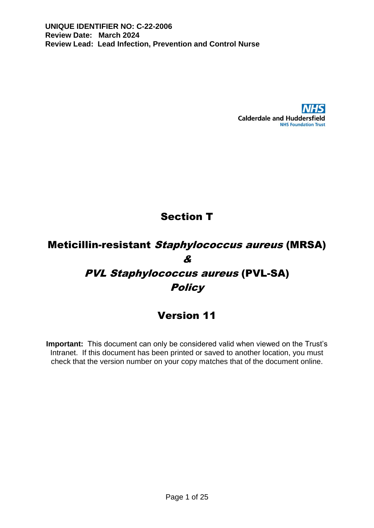

# Section T

# Meticillin-resistant Staphylococcus aureus (MRSA) & PVL Staphylococcus aureus (PVL-SA) **Policy**

## Version 11

**Important:** This document can only be considered valid when viewed on the Trust's Intranet. If this document has been printed or saved to another location, you must check that the version number on your copy matches that of the document online.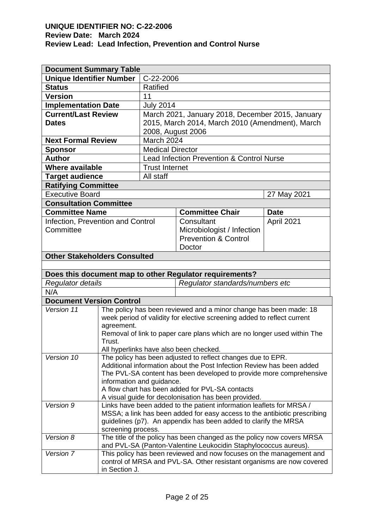| <b>Document Summary Table</b>                           |                           |                         |                                                                                                                                              |             |  |
|---------------------------------------------------------|---------------------------|-------------------------|----------------------------------------------------------------------------------------------------------------------------------------------|-------------|--|
| <b>Unique Identifier Number</b><br>C-22-2006            |                           |                         |                                                                                                                                              |             |  |
| <b>Status</b>                                           |                           | Ratified                |                                                                                                                                              |             |  |
| <b>Version</b>                                          | 11                        |                         |                                                                                                                                              |             |  |
| <b>Implementation Date</b>                              |                           | <b>July 2014</b>        |                                                                                                                                              |             |  |
| <b>Current/Last Review</b>                              |                           |                         | March 2021, January 2018, December 2015, January                                                                                             |             |  |
| <b>Dates</b>                                            |                           |                         | 2015, March 2014, March 2010 (Amendment), March                                                                                              |             |  |
|                                                         |                           | 2008, August 2006       |                                                                                                                                              |             |  |
| <b>Next Formal Review</b>                               |                           | March 2024              |                                                                                                                                              |             |  |
| <b>Sponsor</b>                                          |                           | <b>Medical Director</b> |                                                                                                                                              |             |  |
| <b>Author</b>                                           |                           |                         | <b>Lead Infection Prevention &amp; Control Nurse</b>                                                                                         |             |  |
| <b>Where available</b>                                  |                           | <b>Trust Internet</b>   |                                                                                                                                              |             |  |
| <b>Target audience</b>                                  |                           | All staff               |                                                                                                                                              |             |  |
| <b>Ratifying Committee</b>                              |                           |                         |                                                                                                                                              |             |  |
| <b>Executive Board</b>                                  |                           |                         |                                                                                                                                              | 27 May 2021 |  |
| <b>Consultation Committee</b>                           |                           |                         |                                                                                                                                              |             |  |
| <b>Committee Name</b>                                   |                           |                         | <b>Committee Chair</b>                                                                                                                       | <b>Date</b> |  |
| Infection, Prevention and Control                       |                           |                         | Consultant                                                                                                                                   | April 2021  |  |
| Committee                                               |                           |                         | Microbiologist / Infection                                                                                                                   |             |  |
|                                                         |                           |                         | <b>Prevention &amp; Control</b>                                                                                                              |             |  |
|                                                         |                           |                         | Doctor                                                                                                                                       |             |  |
| <b>Other Stakeholders Consulted</b>                     |                           |                         |                                                                                                                                              |             |  |
|                                                         |                           |                         |                                                                                                                                              |             |  |
| Does this document map to other Regulator requirements? |                           |                         |                                                                                                                                              |             |  |
|                                                         |                           |                         |                                                                                                                                              |             |  |
| <b>Regulator details</b>                                |                           |                         | Regulator standards/numbers etc                                                                                                              |             |  |
| N/A                                                     |                           |                         |                                                                                                                                              |             |  |
| <b>Document Version Control</b>                         |                           |                         |                                                                                                                                              |             |  |
| Version 11                                              |                           |                         | The policy has been reviewed and a minor change has been made: 18                                                                            |             |  |
|                                                         |                           |                         | week period of validity for elective screening added to reflect current                                                                      |             |  |
|                                                         | agreement.                |                         |                                                                                                                                              |             |  |
|                                                         |                           |                         | Removal of link to paper care plans which are no longer used within The                                                                      |             |  |
|                                                         | Trust.                    |                         |                                                                                                                                              |             |  |
|                                                         |                           |                         | All hyperlinks have also been checked.                                                                                                       |             |  |
| Version 10                                              |                           |                         | The policy has been adjusted to reflect changes due to EPR.                                                                                  |             |  |
|                                                         |                           |                         | Additional information about the Post Infection Review has been added<br>The PVL-SA content has been developed to provide more comprehensive |             |  |
|                                                         | information and guidance. |                         |                                                                                                                                              |             |  |
|                                                         |                           |                         | A flow chart has been added for PVL-SA contacts                                                                                              |             |  |
|                                                         |                           |                         | A visual guide for decolonisation has been provided.                                                                                         |             |  |
| Version 9                                               |                           |                         | Links have been added to the patient information leaflets for MRSA /                                                                         |             |  |
|                                                         |                           |                         | MSSA; a link has been added for easy access to the antibiotic prescribing                                                                    |             |  |
|                                                         |                           |                         | guidelines (p7). An appendix has been added to clarify the MRSA                                                                              |             |  |
|                                                         | screening process.        |                         |                                                                                                                                              |             |  |
| Version 8                                               |                           |                         | The title of the policy has been changed as the policy now covers MRSA                                                                       |             |  |
|                                                         |                           |                         | and PVL-SA (Panton-Valentine Leukocidin Staphylococcus aureus).                                                                              |             |  |
| Version 7                                               |                           |                         | This policy has been reviewed and now focuses on the management and<br>control of MRSA and PVL-SA. Other resistant organisms are now covered |             |  |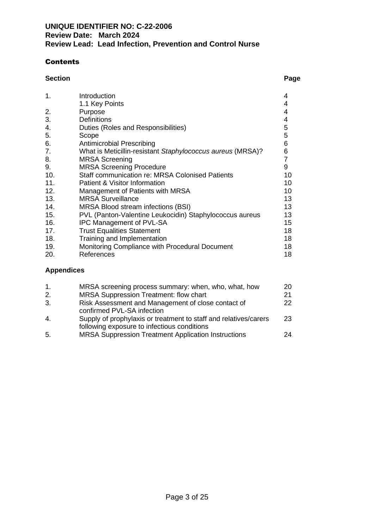## **Contents**

### **Section Page**

| 1.  | Introduction                                               | 4  |
|-----|------------------------------------------------------------|----|
|     | 1.1 Key Points                                             | 4  |
| 2.  | Purpose                                                    | 4  |
| 3.  | <b>Definitions</b>                                         | 4  |
| 4.  | Duties (Roles and Responsibilities)                        | 5  |
| 5.  | Scope                                                      | 5  |
| 6.  | <b>Antimicrobial Prescribing</b>                           | 6  |
| 7.  | What is Meticillin-resistant Staphylococcus aureus (MRSA)? | 6  |
| 8.  | <b>MRSA Screening</b>                                      | 7  |
| 9.  | <b>MRSA Screening Procedure</b>                            | 9  |
| 10. | <b>Staff communication re: MRSA Colonised Patients</b>     | 10 |
| 11. | Patient & Visitor Information                              | 10 |
| 12. | Management of Patients with MRSA                           | 10 |
| 13. | <b>MRSA Surveillance</b>                                   | 13 |
| 14. | MRSA Blood stream infections (BSI)                         | 13 |
| 15. | PVL (Panton-Valentine Leukocidin) Staphylococcus aureus    | 13 |
| 16. | <b>IPC Management of PVL-SA</b>                            | 15 |
| 17. | <b>Trust Equalities Statement</b>                          | 18 |
| 18. | Training and Implementation                                | 18 |
| 19. | Monitoring Compliance with Procedural Document             | 18 |
| 20. | References                                                 | 18 |
|     |                                                            |    |

## **Appendices**

| 1.           | MRSA screening process summary: when, who, what, how                                                            | 20. |
|--------------|-----------------------------------------------------------------------------------------------------------------|-----|
| 2.           | MRSA Suppression Treatment: flow chart                                                                          | 21  |
| 3.           | Risk Assessment and Management of close contact of<br>confirmed PVL-SA infection                                | 22  |
| $\mathbf{A}$ | Supply of prophylaxis or treatment to staff and relatives/carers<br>following exposure to infectious conditions | 23  |
| -5.          | MRSA Suppression Treatment Application Instructions                                                             | 24  |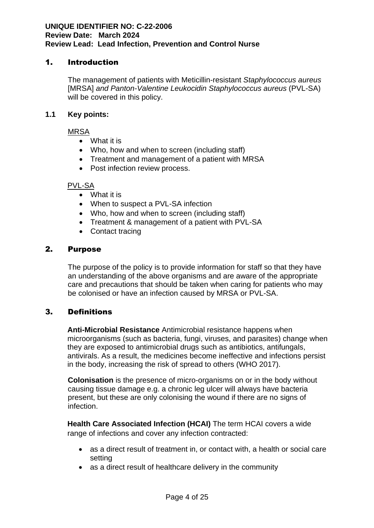## 1. Introduction

The management of patients with Meticillin-resistant *Staphylococcus aureus* [MRSA] *and Panton-Valentine Leukocidin Staphylococcus aureus* (PVL-SA) will be covered in this policy.

### **1.1 Key points:**

MRSA

- What it is
- Who, how and when to screen (including staff)
- Treatment and management of a patient with MRSA
- Post infection review process.

## PVL-SA

- What it is
- When to suspect a PVL-SA infection
- Who, how and when to screen (including staff)
- Treatment & management of a patient with PVL-SA
- Contact tracing

## 2. Purpose

The purpose of the policy is to provide information for staff so that they have an understanding of the above organisms and are aware of the appropriate care and precautions that should be taken when caring for patients who may be colonised or have an infection caused by MRSA or PVL-SA.

## 3. Definitions

**Anti-Microbial Resistance** Antimicrobial resistance happens when microorganisms (such as bacteria, fungi, viruses, and parasites) change when they are exposed to antimicrobial drugs such as antibiotics, antifungals, antivirals. As a result, the medicines become ineffective and infections persist in the body, increasing the risk of spread to others (WHO 2017).

**Colonisation** is the presence of micro-organisms on or in the body without causing tissue damage e.g. a chronic leg ulcer will always have bacteria present, but these are only colonising the wound if there are no signs of infection.

**Health Care Associated Infection (HCAI)** The term HCAI covers a wide range of infections and cover any infection contracted:

- as a direct result of treatment in, or contact with, a health or social care setting
- as a direct result of healthcare delivery in the community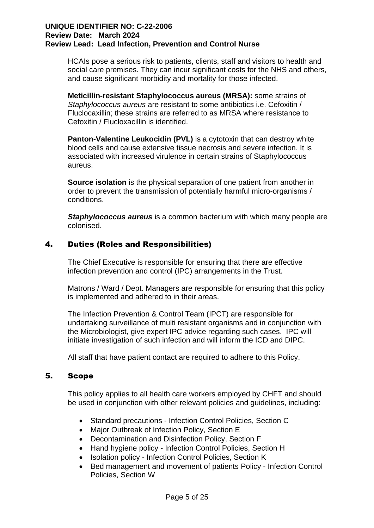HCAIs pose a serious risk to patients, clients, staff and visitors to health and social care premises. They can incur significant costs for the NHS and others, and cause significant morbidity and mortality for those infected.

**Meticillin-resistant Staphylococcus aureus (MRSA):** some strains of *Staphylococcus aureus* are resistant to some antibiotics i.e. Cefoxitin / Fluclocaxillin; these strains are referred to as MRSA where resistance to Cefoxitin / Flucloxacillin is identified.

**Panton-Valentine Leukocidin (PVL)** is a cytotoxin that can destroy white blood cells and cause extensive tissue necrosis and severe infection. It is associated with increased virulence in certain strains of Staphylococcus aureus.

**Source isolation** is the physical separation of one patient from another in order to prevent the transmission of potentially harmful micro-organisms / conditions.

*Staphylococcus aureus* is a common bacterium with which many people are colonised.

## 4. Duties (Roles and Responsibilities)

The Chief Executive is responsible for ensuring that there are effective infection prevention and control (IPC) arrangements in the Trust.

Matrons / Ward / Dept. Managers are responsible for ensuring that this policy is implemented and adhered to in their areas.

The Infection Prevention & Control Team (IPCT) are responsible for undertaking surveillance of multi resistant organisms and in conjunction with the Microbiologist, give expert IPC advice regarding such cases. IPC will initiate investigation of such infection and will inform the ICD and DIPC.

All staff that have patient contact are required to adhere to this Policy.

## 5. Scope

This policy applies to all health care workers employed by CHFT and should be used in conjunction with other relevant policies and guidelines, including:

- Standard precautions Infection Control Policies, Section C
- Major Outbreak of Infection Policy, Section E
- Decontamination and Disinfection Policy, Section F
- Hand hygiene policy Infection Control Policies, Section H
- Isolation policy Infection Control Policies, Section K
- Bed management and movement of patients Policy Infection Control Policies, Section W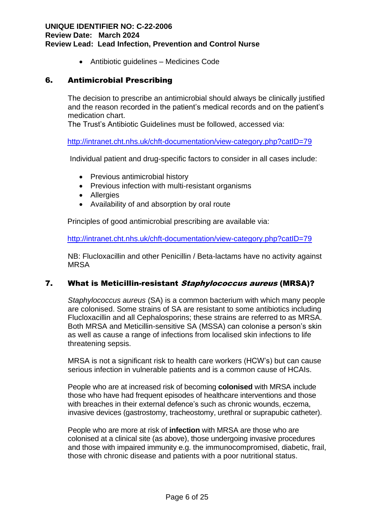• Antibiotic guidelines – Medicines Code

## 6. Antimicrobial Prescribing

The decision to prescribe an antimicrobial should always be clinically justified and the reason recorded in the patient's medical records and on the patient's medication chart.

The Trust's Antibiotic Guidelines must be followed, accessed via:

<http://intranet.cht.nhs.uk/chft-documentation/view-category.php?catID=79>

Individual patient and drug-specific factors to consider in all cases include:

- Previous antimicrobial history
- Previous infection with multi-resistant organisms
- Allergies
- Availability of and absorption by oral route

Principles of good antimicrobial prescribing are available via:

<http://intranet.cht.nhs.uk/chft-documentation/view-category.php?catID=79>

NB: Flucloxacillin and other Penicillin / Beta-lactams have no activity against MRSA

## 7. What is Meticillin-resistant Staphylococcus aureus (MRSA)?

*Staphylococcus aureus* (SA) is a common bacterium with which many people are colonised. Some strains of SA are resistant to some antibiotics including Flucloxacillin and all Cephalosporins; these strains are referred to as MRSA. Both MRSA and Meticillin-sensitive SA (MSSA) can colonise a person's skin as well as cause a range of infections from localised skin infections to life threatening sepsis.

MRSA is not a significant risk to health care workers (HCW's) but can cause serious infection in vulnerable patients and is a common cause of HCAIs.

People who are at increased risk of becoming **colonised** with MRSA include those who have had frequent episodes of healthcare interventions and those with breaches in their external defence's such as chronic wounds, eczema, invasive devices (gastrostomy, tracheostomy, urethral or suprapubic catheter).

People who are more at risk of **infection** with MRSA are those who are colonised at a clinical site (as above), those undergoing invasive procedures and those with impaired immunity e.g. the immunocompromised, diabetic, frail, those with chronic disease and patients with a poor nutritional status.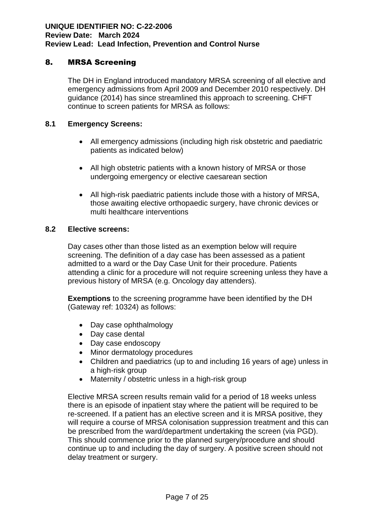## 8. MRSA Screening

The DH in England introduced mandatory MRSA screening of all elective and emergency admissions from April 2009 and December 2010 respectively. DH guidance (2014) has since streamlined this approach to screening. CHFT continue to screen patients for MRSA as follows:

### **8.1 Emergency Screens:**

- All emergency admissions (including high risk obstetric and paediatric patients as indicated below)
- All high obstetric patients with a known history of MRSA or those undergoing emergency or elective caesarean section
- All high-risk paediatric patients include those with a history of MRSA, those awaiting elective orthopaedic surgery, have chronic devices or multi healthcare interventions

## **8.2 Elective screens:**

Day cases other than those listed as an exemption below will require screening. The definition of a day case has been assessed as a patient admitted to a ward or the Day Case Unit for their procedure. Patients attending a clinic for a procedure will not require screening unless they have a previous history of MRSA (e.g. Oncology day attenders).

**Exemptions** to the screening programme have been identified by the DH (Gateway ref: 10324) as follows:

- Day case ophthalmology
- Day case dental
- Day case endoscopy
- Minor dermatology procedures
- Children and paediatrics (up to and including 16 years of age) unless in a high-risk group
- Maternity / obstetric unless in a high-risk group

Elective MRSA screen results remain valid for a period of 18 weeks unless there is an episode of inpatient stay where the patient will be required to be re-screened. If a patient has an elective screen and it is MRSA positive, they will require a course of MRSA colonisation suppression treatment and this can be prescribed from the ward/department undertaking the screen (via PGD). This should commence prior to the planned surgery/procedure and should continue up to and including the day of surgery. A positive screen should not delay treatment or surgery.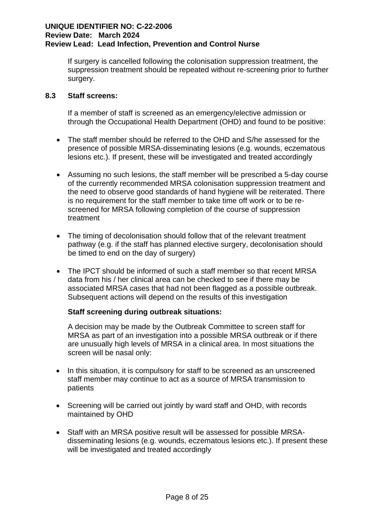If surgery is cancelled following the colonisation suppression treatment, the suppression treatment should be repeated without re-screening prior to further surgery.

## **8.3 Staff screens:**

If a member of staff is screened as an emergency/elective admission or through the Occupational Health Department (OHD) and found to be positive:

- The staff member should be referred to the OHD and S/he assessed for the presence of possible MRSA-disseminating lesions (e.g. wounds, eczematous lesions etc.). If present, these will be investigated and treated accordingly
- Assuming no such lesions, the staff member will be prescribed a 5-day course of the currently recommended MRSA colonisation suppression treatment and the need to observe good standards of hand hygiene will be reiterated. There is no requirement for the staff member to take time off work or to be rescreened for MRSA following completion of the course of suppression treatment
- The timing of decolonisation should follow that of the relevant treatment pathway (e.g. if the staff has planned elective surgery, decolonisation should be timed to end on the day of surgery)
- The IPCT should be informed of such a staff member so that recent MRSA data from his / her clinical area can be checked to see if there may be associated MRSA cases that had not been flagged as a possible outbreak. Subsequent actions will depend on the results of this investigation

## **Staff screening during outbreak situations:**

A decision may be made by the Outbreak Committee to screen staff for MRSA as part of an investigation into a possible MRSA outbreak or if there are unusually high levels of MRSA in a clinical area. In most situations the screen will be nasal only:

- In this situation, it is compulsory for staff to be screened as an unscreened staff member may continue to act as a source of MRSA transmission to patients
- Screening will be carried out jointly by ward staff and OHD, with records maintained by OHD
- Staff with an MRSA positive result will be assessed for possible MRSAdisseminating lesions (e.g. wounds, eczematous lesions etc.). If present these will be investigated and treated accordingly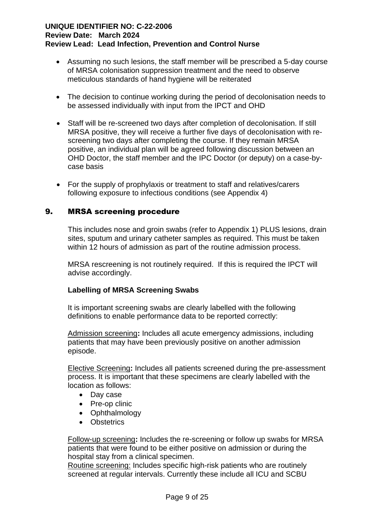- Assuming no such lesions, the staff member will be prescribed a 5-day course of MRSA colonisation suppression treatment and the need to observe meticulous standards of hand hygiene will be reiterated
- The decision to continue working during the period of decolonisation needs to be assessed individually with input from the IPCT and OHD
- Staff will be re-screened two days after completion of decolonisation. If still MRSA positive, they will receive a further five days of decolonisation with rescreening two days after completing the course. If they remain MRSA positive, an individual plan will be agreed following discussion between an OHD Doctor, the staff member and the IPC Doctor (or deputy) on a case-bycase basis
- For the supply of prophylaxis or treatment to staff and relatives/carers following exposure to infectious conditions (see Appendix 4)

## 9. MRSA screening procedure

This includes nose and groin swabs (refer to Appendix 1) PLUS lesions, drain sites, sputum and urinary catheter samples as required. This must be taken within 12 hours of admission as part of the routine admission process.

MRSA rescreening is not routinely required. If this is required the IPCT will advise accordingly.

## **Labelling of MRSA Screening Swabs**

It is important screening swabs are clearly labelled with the following definitions to enable performance data to be reported correctly:

Admission screening**:** Includes all acute emergency admissions, including patients that may have been previously positive on another admission episode.

Elective Screening**:** Includes all patients screened during the pre-assessment process. It is important that these specimens are clearly labelled with the location as follows:

- Day case
- Pre-op clinic
- Ophthalmology
- Obstetrics

Follow-up screening**:** Includes the re-screening or follow up swabs for MRSA patients that were found to be either positive on admission or during the hospital stay from a clinical specimen.

Routine screening: Includes specific high-risk patients who are routinely screened at regular intervals. Currently these include all ICU and SCBU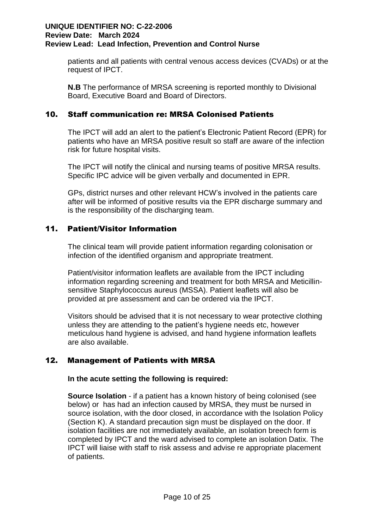patients and all patients with central venous access devices (CVADs) or at the request of IPCT.

**N.B** The performance of MRSA screening is reported monthly to Divisional Board, Executive Board and Board of Directors.

## 10. Staff communication re: MRSA Colonised Patients

The IPCT will add an alert to the patient's Electronic Patient Record (EPR) for patients who have an MRSA positive result so staff are aware of the infection risk for future hospital visits.

The IPCT will notify the clinical and nursing teams of positive MRSA results. Specific IPC advice will be given verbally and documented in EPR.

GPs, district nurses and other relevant HCW's involved in the patients care after will be informed of positive results via the EPR discharge summary and is the responsibility of the discharging team.

## 11. Patient/Visitor Information

The clinical team will provide patient information regarding colonisation or infection of the identified organism and appropriate treatment.

Patient/visitor information leaflets are available from the IPCT including information regarding screening and treatment for both MRSA and Meticillinsensitive Staphylococcus aureus (MSSA). Patient leaflets will also be provided at pre assessment and can be ordered via the IPCT.

Visitors should be advised that it is not necessary to wear protective clothing unless they are attending to the patient's hygiene needs etc, however meticulous hand hygiene is advised, and hand hygiene information leaflets are also available.

## 12. Management of Patients with MRSA

## **In the acute setting the following is required:**

**Source Isolation** - if a patient has a known history of being colonised (see below) or has had an infection caused by MRSA, they must be nursed in source isolation, with the door closed, in accordance with the Isolation Policy (Section K). A standard precaution sign must be displayed on the door. If isolation facilities are not immediately available, an isolation breech form is completed by IPCT and the ward advised to complete an isolation Datix. The IPCT will liaise with staff to risk assess and advise re appropriate placement of patients.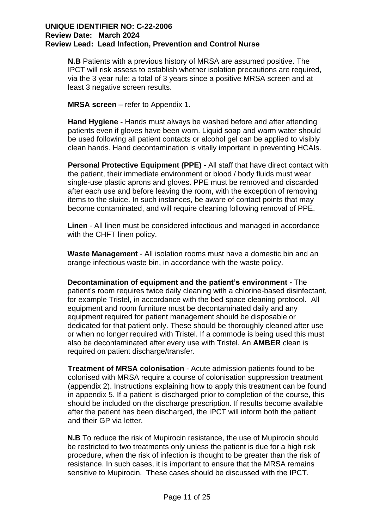**N.B** Patients with a previous history of MRSA are assumed positive. The IPCT will risk assess to establish whether isolation precautions are required, via the 3 year rule: a total of 3 years since a positive MRSA screen and at least 3 negative screen results.

**MRSA screen** – refer to Appendix 1.

**Hand Hygiene -** Hands must always be washed before and after attending patients even if gloves have been worn. Liquid soap and warm water should be used following all patient contacts or alcohol gel can be applied to visibly clean hands. Hand decontamination is vitally important in preventing HCAIs.

**Personal Protective Equipment (PPE) -** All staff that have direct contact with the patient, their immediate environment or blood / body fluids must wear single-use plastic aprons and gloves. PPE must be removed and discarded after each use and before leaving the room, with the exception of removing items to the sluice. In such instances, be aware of contact points that may become contaminated, and will require cleaning following removal of PPE.

**Linen** - All linen must be considered infectious and managed in accordance with the CHFT linen policy.

**Waste Management** - All isolation rooms must have a domestic bin and an orange infectious waste bin, in accordance with the waste policy.

**Decontamination of equipment and the patient's environment -** The patient's room requires twice daily cleaning with a chlorine-based disinfectant, for example Tristel, in accordance with the bed space cleaning protocol. All equipment and room furniture must be decontaminated daily and any equipment required for patient management should be disposable or dedicated for that patient only. These should be thoroughly cleaned after use or when no longer required with Tristel. If a commode is being used this must also be decontaminated after every use with Tristel. An **AMBER** clean is required on patient discharge/transfer.

**Treatment of MRSA colonisation** - Acute admission patients found to be colonised with MRSA require a course of colonisation suppression treatment (appendix 2). Instructions explaining how to apply this treatment can be found in appendix 5. If a patient is discharged prior to completion of the course, this should be included on the discharge prescription. If results become available after the patient has been discharged, the IPCT will inform both the patient and their GP via letter.

**N.B** To reduce the risk of Mupirocin resistance, the use of Mupirocin should be restricted to two treatments only unless the patient is due for a high risk procedure, when the risk of infection is thought to be greater than the risk of resistance. In such cases, it is important to ensure that the MRSA remains sensitive to Mupirocin. These cases should be discussed with the IPCT.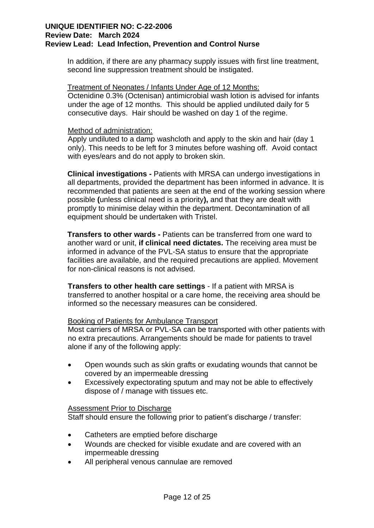In addition, if there are any pharmacy supply issues with first line treatment, second line suppression treatment should be instigated.

#### Treatment of Neonates / Infants Under Age of 12 Months:

Octenidine 0.3% (Octenisan) antimicrobial wash lotion is advised for infants under the age of 12 months. This should be applied undiluted daily for 5 consecutive days. Hair should be washed on day 1 of the regime.

#### Method of administration:

Apply undiluted to a damp washcloth and apply to the skin and hair (day 1 only). This needs to be left for 3 minutes before washing off. Avoid contact with eyes/ears and do not apply to broken skin.

**Clinical investigations -** Patients with MRSA can undergo investigations in all departments, provided the department has been informed in advance. It is recommended that patients are seen at the end of the working session where possible **(**unless clinical need is a priority**),** and that they are dealt with promptly to minimise delay within the department. Decontamination of all equipment should be undertaken with Tristel.

**Transfers to other wards -** Patients can be transferred from one ward to another ward or unit, **if clinical need dictates.** The receiving area must be informed in advance of the PVL-SA status to ensure that the appropriate facilities are available, and the required precautions are applied. Movement for non-clinical reasons is not advised.

**Transfers to other health care settings** - If a patient with MRSA is transferred to another hospital or a care home, the receiving area should be informed so the necessary measures can be considered.

## Booking of Patients for Ambulance Transport

Most carriers of MRSA or PVL-SA can be transported with other patients with no extra precautions. Arrangements should be made for patients to travel alone if any of the following apply:

- Open wounds such as skin grafts or exudating wounds that cannot be covered by an impermeable dressing
- Excessively expectorating sputum and may not be able to effectively dispose of / manage with tissues etc.

#### Assessment Prior to Discharge

Staff should ensure the following prior to patient's discharge / transfer:

- Catheters are emptied before discharge
- Wounds are checked for visible exudate and are covered with an impermeable dressing
- All peripheral venous cannulae are removed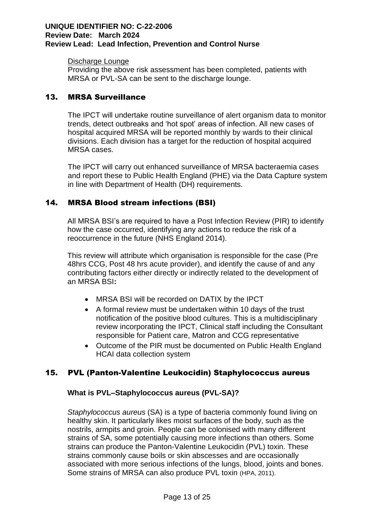#### Discharge Lounge

Providing the above risk assessment has been completed, patients with MRSA or PVL-SA can be sent to the discharge lounge.

## 13. MRSA Surveillance

The IPCT will undertake routine surveillance of alert organism data to monitor trends, detect outbreaks and 'hot spot' areas of infection. All new cases of hospital acquired MRSA will be reported monthly by wards to their clinical divisions. Each division has a target for the reduction of hospital acquired MRSA cases.

The IPCT will carry out enhanced surveillance of MRSA bacteraemia cases and report these to Public Health England (PHE) via the Data Capture system in line with Department of Health (DH) requirements.

## 14. MRSA Blood stream infections (BSI)

All MRSA BSI's are required to have a Post Infection Review (PIR) to identify how the case occurred, identifying any actions to reduce the risk of a reoccurrence in the future (NHS England 2014).

This review will attribute which organisation is responsible for the case (Pre 48hrs CCG, Post 48 hrs acute provider), and identify the cause of and any contributing factors either directly or indirectly related to the development of an MRSA BSI**:** 

- MRSA BSI will be recorded on DATIX by the IPCT
- A formal review must be undertaken within 10 days of the trust notification of the positive blood cultures. This is a multidisciplinary review incorporating the IPCT, Clinical staff including the Consultant responsible for Patient care, Matron and CCG representative
- Outcome of the PIR must be documented on Public Health England HCAI data collection system

## 15. PVL (Panton-Valentine Leukocidin) Staphylococcus aureus

## **What is PVL–Staphylococcus aureus (PVL-SA)?**

*Staphylococcus aureus* (SA) is a type of bacteria commonly found living on healthy skin. It particularly likes moist surfaces of the body, such as the nostrils, armpits and groin. People can be colonised with many different strains of SA, some potentially causing more infections than others. Some strains can produce the Panton-Valentine Leukocidin (PVL) toxin. These strains commonly cause boils or skin abscesses and are occasionally associated with more serious infections of the lungs, blood, joints and bones. Some strains of MRSA can also produce PVL toxin (HPA, 2011).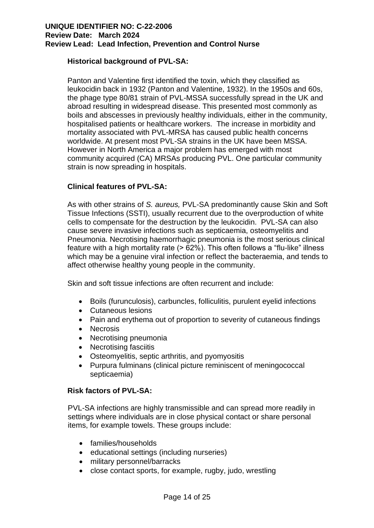## **Historical background of PVL-SA:**

Panton and Valentine first identified the toxin, which they classified as leukocidin back in 1932 (Panton and Valentine, 1932). In the 1950s and 60s, the phage type 80/81 strain of PVL-MSSA successfully spread in the UK and abroad resulting in widespread disease. This presented most commonly as boils and abscesses in previously healthy individuals, either in the community, hospitalised patients or healthcare workers. The increase in morbidity and mortality associated with PVL-MRSA has caused public health concerns worldwide. At present most PVL-SA strains in the UK have been MSSA. However in North America a major problem has emerged with most community acquired (CA) MRSAs producing PVL. One particular community strain is now spreading in hospitals.

## **Clinical features of PVL-SA:**

As with other strains of *S. aureus,* PVL-SA predominantly cause Skin and Soft Tissue Infections (SSTI), usually recurrent due to the overproduction of white cells to compensate for the destruction by the leukocidin. PVL-SA can also cause severe invasive infections such as septicaemia, osteomyelitis and Pneumonia. Necrotising haemorrhagic pneumonia is the most serious clinical feature with a high mortality rate (> 62%). This often follows a "flu-like" illness which may be a genuine viral infection or reflect the bacteraemia, and tends to affect otherwise healthy young people in the community.

Skin and soft tissue infections are often recurrent and include:

- Boils (furunculosis), carbuncles, folliculitis, purulent eyelid infections
- Cutaneous lesions
- Pain and erythema out of proportion to severity of cutaneous findings
- Necrosis
- Necrotising pneumonia
- Necrotising fasciitis
- Osteomyelitis, septic arthritis, and pyomyositis
- Purpura fulminans (clinical picture reminiscent of meningococcal septicaemia)

## **Risk factors of PVL-SA:**

PVL-SA infections are highly transmissible and can spread more readily in settings where individuals are in close physical contact or share personal items, for example towels. These groups include:

- families/households
- educational settings (including nurseries)
- military personnel/barracks
- close contact sports, for example, rugby, judo, wrestling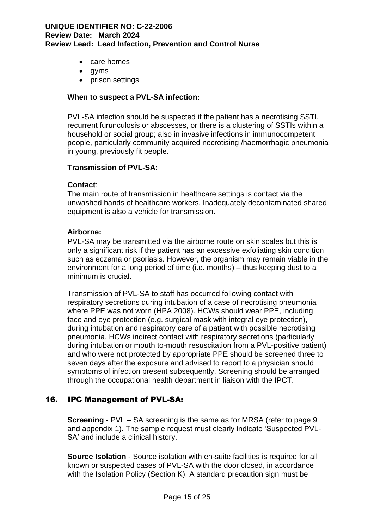- care homes
- gyms
- prison settings

#### **When to suspect a PVL-SA infection:**

PVL-SA infection should be suspected if the patient has a necrotising SSTI, recurrent furunculosis or abscesses, or there is a clustering of SSTIs within a household or social group; also in invasive infections in immunocompetent people, particularly community acquired necrotising /haemorrhagic pneumonia in young, previously fit people.

#### **Transmission of PVL-SA:**

#### **Contact**:

The main route of transmission in healthcare settings is contact via the unwashed hands of healthcare workers. Inadequately decontaminated shared equipment is also a vehicle for transmission.

#### **Airborne:**

PVL-SA may be transmitted via the airborne route on skin scales but this is only a significant risk if the patient has an excessive exfoliating skin condition such as eczema or psoriasis. However, the organism may remain viable in the environment for a long period of time (i.e. months) – thus keeping dust to a minimum is crucial.

Transmission of PVL-SA to staff has occurred following contact with respiratory secretions during intubation of a case of necrotising pneumonia where PPE was not worn (HPA 2008). HCWs should wear PPE, including face and eye protection (e.g. surgical mask with integral eye protection), during intubation and respiratory care of a patient with possible necrotising pneumonia. HCWs indirect contact with respiratory secretions (particularly during intubation or mouth to-mouth resuscitation from a PVL-positive patient) and who were not protected by appropriate PPE should be screened three to seven days after the exposure and advised to report to a physician should symptoms of infection present subsequently. Screening should be arranged through the occupational health department in liaison with the IPCT.

## 16. IPC Management of PVL-SA:

**Screening -** PVL – SA screening is the same as for MRSA (refer to page 9 and appendix 1). The sample request must clearly indicate 'Suspected PVL-SA' and include a clinical history.

**Source Isolation** - Source isolation with en-suite facilities is required for all known or suspected cases of PVL-SA with the door closed, in accordance with the Isolation Policy (Section K). A standard precaution sign must be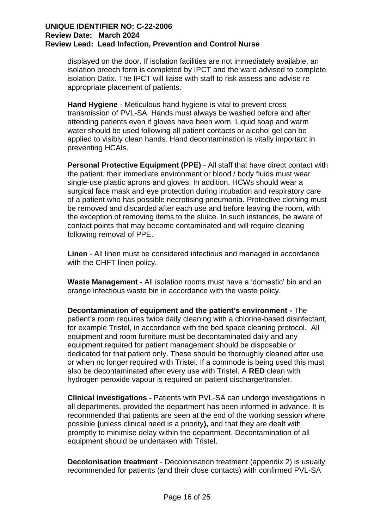displayed on the door. If isolation facilities are not immediately available, an isolation breech form is completed by IPCT and the ward advised to complete isolation Datix. The IPCT will liaise with staff to risk assess and advise re appropriate placement of patients.

**Hand Hygiene** - Meticulous hand hygiene is vital to prevent cross transmission of PVL-SA. Hands must always be washed before and after attending patients even if gloves have been worn. Liquid soap and warm water should be used following all patient contacts or alcohol gel can be applied to visibly clean hands. Hand decontamination is vitally important in preventing HCAIs.

**Personal Protective Equipment (PPE)** - All staff that have direct contact with the patient, their immediate environment or blood / body fluids must wear single-use plastic aprons and gloves. In addition, HCWs should wear a surgical face mask and eye protection during intubation and respiratory care of a patient who has possible necrotising pneumonia. Protective clothing must be removed and discarded after each use and before leaving the room, with the exception of removing items to the sluice. In such instances, be aware of contact points that may become contaminated and will require cleaning following removal of PPE.

**Linen** - All linen must be considered infectious and managed in accordance with the CHFT linen policy.

**Waste Management** - All isolation rooms must have a 'domestic' bin and an orange infectious waste bin in accordance with the waste policy.

**Decontamination of equipment and the patient's environment -** The patient's room requires twice daily cleaning with a chlorine-based disinfectant, for example Tristel, in accordance with the bed space cleaning protocol. All equipment and room furniture must be decontaminated daily and any equipment required for patient management should be disposable or dedicated for that patient only. These should be thoroughly cleaned after use or when no longer required with Tristel. If a commode is being used this must also be decontaminated after every use with Tristel. A **RED** clean with hydrogen peroxide vapour is required on patient discharge/transfer.

**Clinical investigations -** Patients with PVL-SA can undergo investigations in all departments, provided the department has been informed in advance. It is recommended that patients are seen at the end of the working session where possible **(**unless clinical need is a priority**),** and that they are dealt with promptly to minimise delay within the department. Decontamination of all equipment should be undertaken with Tristel.

**Decolonisation treatment** - Decolonisation treatment (appendix 2) is usually recommended for patients (and their close contacts) with confirmed PVL-SA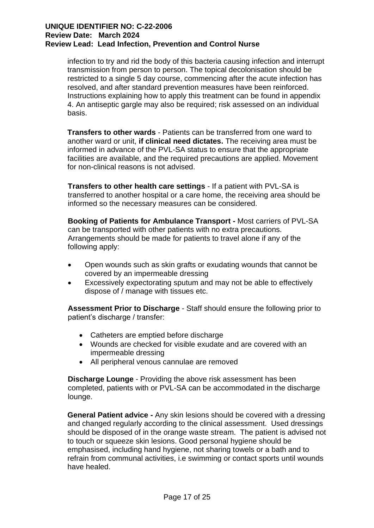infection to try and rid the body of this bacteria causing infection and interrupt transmission from person to person. The topical decolonisation should be restricted to a single 5 day course, commencing after the acute infection has resolved, and after standard prevention measures have been reinforced. Instructions explaining how to apply this treatment can be found in appendix 4. An antiseptic gargle may also be required; risk assessed on an individual basis.

**Transfers to other wards** - Patients can be transferred from one ward to another ward or unit, **if clinical need dictates.** The receiving area must be informed in advance of the PVL-SA status to ensure that the appropriate facilities are available, and the required precautions are applied. Movement for non-clinical reasons is not advised.

**Transfers to other health care settings** - If a patient with PVL-SA is transferred to another hospital or a care home, the receiving area should be informed so the necessary measures can be considered.

**Booking of Patients for Ambulance Transport -** Most carriers of PVL-SA can be transported with other patients with no extra precautions. Arrangements should be made for patients to travel alone if any of the following apply:

- Open wounds such as skin grafts or exudating wounds that cannot be covered by an impermeable dressing
- Excessively expectorating sputum and may not be able to effectively dispose of / manage with tissues etc.

**Assessment Prior to Discharge** - Staff should ensure the following prior to patient's discharge / transfer:

- Catheters are emptied before discharge
- Wounds are checked for visible exudate and are covered with an impermeable dressing
- All peripheral venous cannulae are removed

**Discharge Lounge** - Providing the above risk assessment has been completed, patients with or PVL-SA can be accommodated in the discharge lounge.

**General Patient advice -** Any skin lesions should be covered with a dressing and changed regularly according to the clinical assessment. Used dressings should be disposed of in the orange waste stream. The patient is advised not to touch or squeeze skin lesions. Good personal hygiene should be emphasised, including hand hygiene, not sharing towels or a bath and to refrain from communal activities, i.e swimming or contact sports until wounds have healed.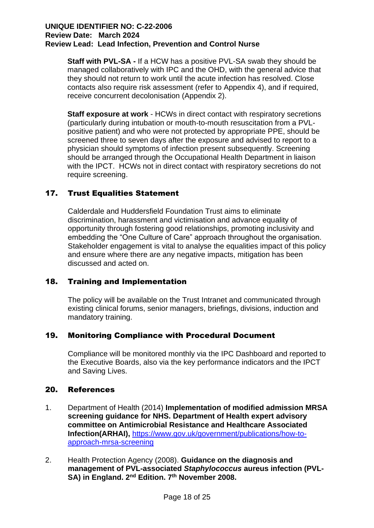**Staff with PVL-SA -** If a HCW has a positive PVL-SA swab they should be managed collaboratively with IPC and the OHD, with the general advice that they should not return to work until the acute infection has resolved. Close contacts also require risk assessment (refer to Appendix 4), and if required, receive concurrent decolonisation (Appendix 2).

**Staff exposure at work** - HCWs in direct contact with respiratory secretions (particularly during intubation or mouth-to-mouth resuscitation from a PVLpositive patient) and who were not protected by appropriate PPE, should be screened three to seven days after the exposure and advised to report to a physician should symptoms of infection present subsequently. Screening should be arranged through the Occupational Health Department in liaison with the IPCT. HCWs not in direct contact with respiratory secretions do not require screening.

## 17. Trust Equalities Statement

Calderdale and Huddersfield Foundation Trust aims to eliminate discrimination, harassment and victimisation and advance equality of opportunity through fostering good relationships, promoting inclusivity and embedding the "One Culture of Care" approach throughout the organisation. Stakeholder engagement is vital to analyse the equalities impact of this policy and ensure where there are any negative impacts, mitigation has been discussed and acted on.

## 18. Training and Implementation

The policy will be available on the Trust Intranet and communicated through existing clinical forums, senior managers, briefings, divisions, induction and mandatory training.

## 19. Monitoring Compliance with Procedural Document

Compliance will be monitored monthly via the IPC Dashboard and reported to the Executive Boards, also via the key performance indicators and the IPCT and Saving Lives.

## 20. References

- 1. Department of Health (2014) **Implementation of modified admission MRSA screening guidance for NHS. Department of Health expert advisory committee on Antimicrobial Resistance and Healthcare Associated Infection(ARHAI),** [https://www.gov.uk/government/publications/how-to](https://www.gov.uk/government/publications/how-to-approach-mrsa-screening)[approach-mrsa-screening](https://www.gov.uk/government/publications/how-to-approach-mrsa-screening)
- 2. Health Protection Agency (2008). **Guidance on the diagnosis and management of PVL-associated** *Staphylococcus* **aureus infection (PVL-**SA) in England. 2<sup>nd</sup> Edition. 7<sup>th</sup> November 2008.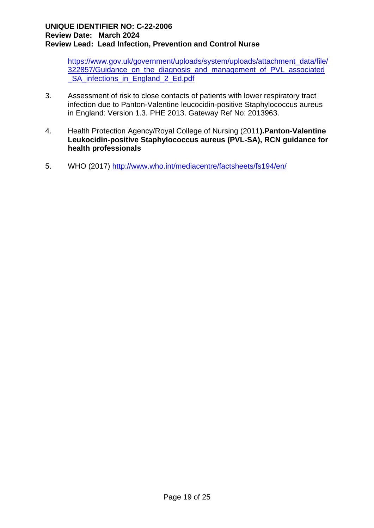[https://www.gov.uk/government/uploads/system/uploads/attachment\\_data/file/](https://www.gov.uk/government/uploads/system/uploads/attachment_data/file/322857/Guidance_on_the_diagnosis_and_management_of_PVL_associated_SA_infections_in_England_2_Ed.pdf) [322857/Guidance\\_on\\_the\\_diagnosis\\_and\\_management\\_of\\_PVL\\_associated](https://www.gov.uk/government/uploads/system/uploads/attachment_data/file/322857/Guidance_on_the_diagnosis_and_management_of_PVL_associated_SA_infections_in_England_2_Ed.pdf) [\\_SA\\_infections\\_in\\_England\\_2\\_Ed.pdf](https://www.gov.uk/government/uploads/system/uploads/attachment_data/file/322857/Guidance_on_the_diagnosis_and_management_of_PVL_associated_SA_infections_in_England_2_Ed.pdf)

- 3. Assessment of risk to close contacts of patients with lower respiratory tract infection due to Panton-Valentine leucocidin-positive Staphylococcus aureus in England: Version 1.3. PHE 2013. Gateway Ref No: 2013963.
- 4. Health Protection Agency/Royal College of Nursing (2011**).Panton-Valentine Leukocidin-positive Staphylococcus aureus (PVL-SA), RCN guidance for health professionals**
- 5. WHO (2017)<http://www.who.int/mediacentre/factsheets/fs194/en/>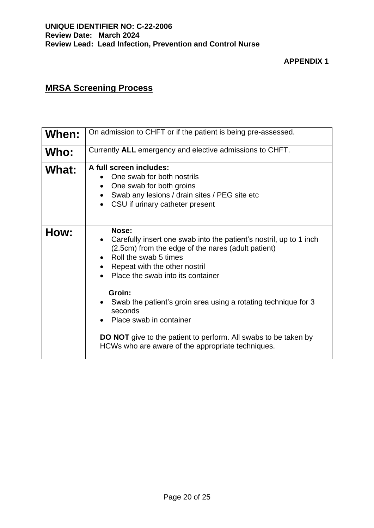## **MRSA Screening Process**

| When: | On admission to CHFT or if the patient is being pre-assessed.                                                                                                                                                                                                                                                                                                                                                                                                                     |  |  |  |  |
|-------|-----------------------------------------------------------------------------------------------------------------------------------------------------------------------------------------------------------------------------------------------------------------------------------------------------------------------------------------------------------------------------------------------------------------------------------------------------------------------------------|--|--|--|--|
| Who:  | Currently ALL emergency and elective admissions to CHFT.                                                                                                                                                                                                                                                                                                                                                                                                                          |  |  |  |  |
| What: | A full screen includes:<br>One swab for both nostrils<br>One swab for both groins<br>$\bullet$<br>Swab any lesions / drain sites / PEG site etc<br>CSU if urinary catheter present                                                                                                                                                                                                                                                                                                |  |  |  |  |
| How:  | Nose:<br>Carefully insert one swab into the patient's nostril, up to 1 inch<br>(2.5cm) from the edge of the nares (adult patient)<br>Roll the swab 5 times<br>Repeat with the other nostril<br>Place the swab into its container<br>Groin:<br>Swab the patient's groin area using a rotating technique for 3<br>seconds<br>Place swab in container<br><b>DO NOT</b> give to the patient to perform. All swabs to be taken by<br>HCWs who are aware of the appropriate techniques. |  |  |  |  |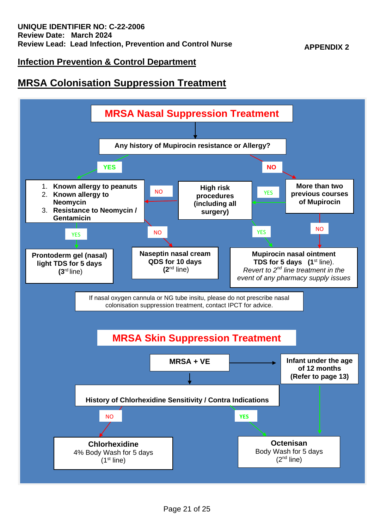## **Infection Prevention & Control Department**

## **MRSA Colonisation Suppression Treatment**

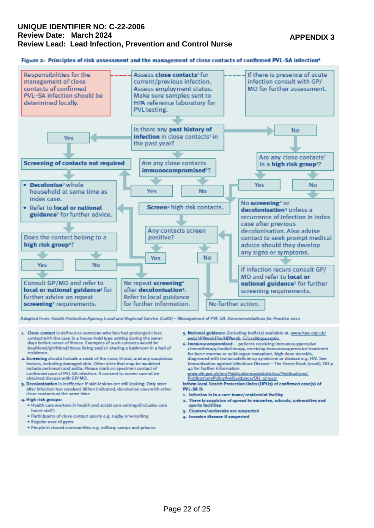#### **APPENDIX 3**

#### Figure 2: Principles of risk assessment and the management of close contacts of confirmed PVL-SA infection<sup>4</sup>



Adapted from: Health Protection Agency, Local and Regional Service (LaRS) - Management of PVL-SA. Recommendations for Practice 2010

- 1. Close contact is defined as someone who has had prolonged close contact with the case in a house-hold type setting during the seven days before onset of illness. Examples of such contacts would be boyfriend/girlfriend/those living and/ or sharing a bathroom in a hall of residence
- 2. Screening should include a swab of the nose, throat, and any suspicious lesions, including damaged skin. Other sites that may be swabbed<br>include perineum and axilla. Please mark on specimen contact of confirmed case of PVL SA infection. If consent to screen cannot be obtained discuss with GP/MO.
- 3. Decolonisation is ineffective if skin lesions are still leaking. Only start after infection has resolved. When indicated, decolonise case with other close contacts at the same time
- 4. High risk groups:
	- . Health care workers in health and social care settings(includes care home staff)
	- . Participants of close contact sports e.g. rugby orwrestling
	- Regular user of gyms
	- \* People in closed communities e.g. military camps and prisons
- 5. National guidance (including leaflets) available at: www.hpa.org.uk/ web/HPAwebFile/HPAweb C/1218699411960
- 6. Immunocompromised patients receiving immunosuppressive chemotherapy/radiotherapy, receiving immunosuppressive treatment for bone marrow or solid organ transplant, high dose steroids, diagnosed with immunodeficiency syndrome or disease e.g. HIV. See Immunisation against infectious Disease - The Green Book (2006), DH p
- 42 for further information www.dh.gov.uk/en/Publicationsandstatistics/Publications/ PublicationsPolicyAndGuidance/DH\_oy 9917
- Inform local Health Protection Units (HPUs) of confirmed case(s) of PVL-SA if:
- 1. Infection is in a care home/residential facility
- 2. There is suspicion of spread in nurseries, schools, universities and sports facilities
- a. Clusters/outbreaks are suspected
- 4. Invasive disease if suspected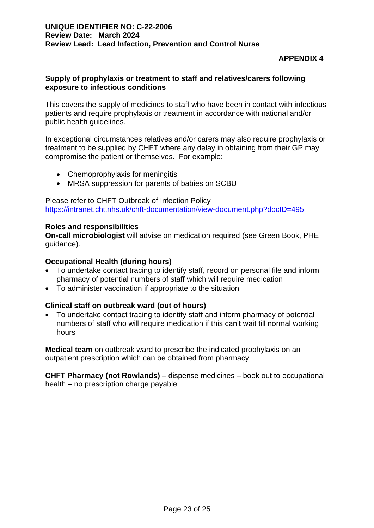## **APPENDIX 4**

## **Supply of prophylaxis or treatment to staff and relatives/carers following exposure to infectious conditions**

This covers the supply of medicines to staff who have been in contact with infectious patients and require prophylaxis or treatment in accordance with national and/or public health guidelines.

In exceptional circumstances relatives and/or carers may also require prophylaxis or treatment to be supplied by CHFT where any delay in obtaining from their GP may compromise the patient or themselves. For example:

- Chemoprophylaxis for meningitis
- MRSA suppression for parents of babies on SCBU

Please refer to CHFT Outbreak of Infection Policy <https://intranet.cht.nhs.uk/chft-documentation/view-document.php?docID=495>

#### **Roles and responsibilities**

**On-call microbiologist** will advise on medication required (see Green Book, PHE quidance).

### **Occupational Health (during hours)**

- To undertake contact tracing to identify staff, record on personal file and inform pharmacy of potential numbers of staff which will require medication
- To administer vaccination if appropriate to the situation

## **Clinical staff on outbreak ward (out of hours)**

• To undertake contact tracing to identify staff and inform pharmacy of potential numbers of staff who will require medication if this can't wait till normal working hours

**Medical team** on outbreak ward to prescribe the indicated prophylaxis on an outpatient prescription which can be obtained from pharmacy

**CHFT Pharmacy (not Rowlands)** – dispense medicines – book out to occupational health – no prescription charge payable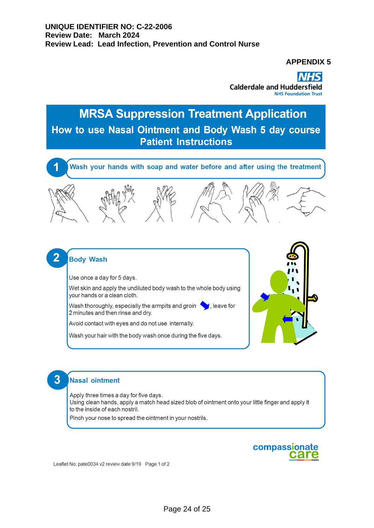**APPENDIX 5**

**Calderdale and Huddersfield NHS Foundation Trust** 

# **MRSA Suppression Treatment Application** How to use Nasal Ointment and Body Wash 5 day course **Patient Instructions**



## **Body Wash**

2

3

Use once a day for 5 days.

Wet skin and apply the undiluted body wash to the whole body using your hands or a clean cloth.

Wash thoroughly, especially the armpits and groin  $\bigcirc$ , leave for 2 minutes and then rinse and dry.

Avoid contact with eyes and do not use internally.

Wash your hair with the body wash once during the five days.



## **Nasal ointment**

Apply three times a day for five days. Using clean hands, apply a match head sized blob of ointment onto your little finger and apply it to the inside of each nostril.

Pinch your nose to spread the ointment in your nostrils.



Leaflet No: pate0034 v2 review date 9/19 Page 1 of 2